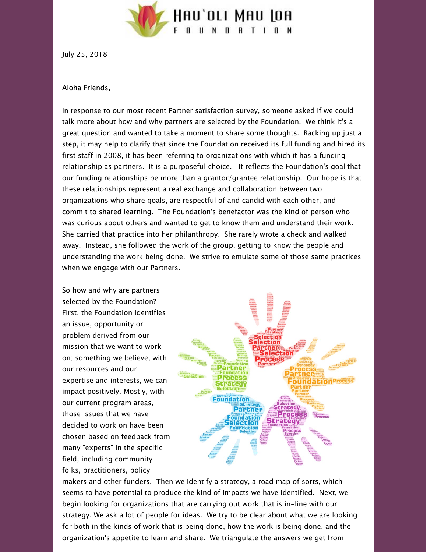

July 25, 2018

## Aloha Friends,

In response to our most recent Partner satisfaction survey, someone asked if we could talk more about how and why partners are selected by the Foundation. We think it's a great question and wanted to take a moment to share some thoughts. Backing up just a step, it may help to clarify that since the Foundation received its full funding and hired its first staff in 2008, it has been referring to organizations with which it has a funding relationship as partners. It is a purposeful choice. It reflects the Foundation's goal that our funding relationships be more than a grantor/grantee relationship. Our hope is that these relationships represent a real exchange and collaboration between two organizations who share goals, are respectful of and candid with each other, and commit to shared learning. The Foundation's benefactor was the kind of person who was curious about others and wanted to get to know them and understand their work. She carried that practice into her philanthropy. She rarely wrote a check and walked away. Instead, she followed the work of the group, getting to know the people and understanding the work being done. We strive to emulate some of those same practices when we engage with our Partners.

So how and why are partners selected by the Foundation? First, the Foundation identifies an issue, opportunity or problem derived from our mission that we want to work on; something we believe, with our resources and our expertise and interests, we can impact positively. Mostly, with our current program areas, those issues that we have decided to work on have been chosen based on feedback from many "experts" in the specific field, including community folks, practitioners, policy



makers and other funders. Then we identify a strategy, a road map of sorts, which seems to have potential to produce the kind of impacts we have identified. Next, we begin looking for organizations that are carrying out work that is in-line with our strategy. We ask a lot of people for ideas. We try to be clear about what we are looking for both in the kinds of work that is being done, how the work is being done, and the organization's appetite to learn and share. We triangulate the answers we get from